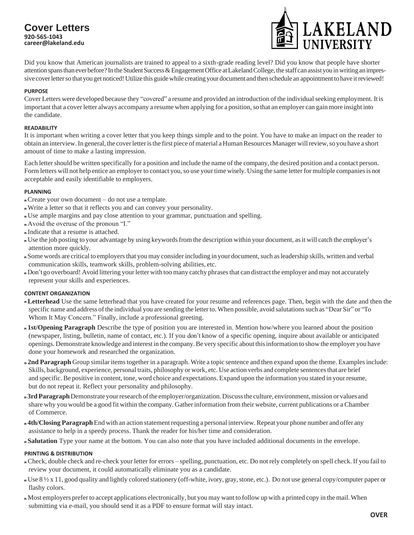# **Cover Letters 920-565-1043 [caree](mailto:career@lakeland.edu)r@lakel[and.edu](mailto:eer@lakeland.edu)**



Did you know that American journalists are trained to appeal to a sixth-grade reading level? Did you know that people have shorter attention spans than ever before? In the Student Success & Engagement Office at Lakeland College, the staff can assist you in writing an impressive cover letter so that you get noticed! Utilize this guide while creating your document and then schedule an appointment to have it reviewed!

#### **PURPOSE**

Cover Letters were developed because they "covered" a resume and provided an introduction of the individual seeking employment. It is important that a cover letter always accompany a resume when applying for a position,so that an employer can gain more insight into the candidate.

#### **READABILITY**

It is important when writing a cover letter that you keep things simple and to the point. You have to make an impact on the reader to obtain an interview.In general, the coverletteristhe first piece ofmaterial a HumanResourcesManager willreview,so you have a short amount of time to make a lasting impression.

Each letter should be written specifically for a position and include the name of the company, the desired position and a contact person. Form letters will not help entice an employer to contact you, so use your time wisely. Using the same letter for multiple companies is not acceptable and easily identifiable to employers.

## **PLANNING**

- <sup>n</sup>Create your own document do not use a template.
- <sup>n</sup>Write a letter so that it reflects you and can convey your personality.
- <sup>n</sup>Use ample margins and pay close attention to your grammar, punctuation and spelling.
- <sup>n</sup>Avoid the overuse of the pronoun "I."
- n Indicate that a resume is attached.
- <sup>n</sup> Use the job posting to your advantage by using keywordsfrom the description within your document, asit will catch the employer's attention more quickly.
- <sup>n</sup> Some words are critical to employersthat you may considerincluding in your document,such asleadership skills, written and verbal communication skills, teamwork skills, problem-solving abilities, etc.
- n Don't go overboard! Avoid littering your letter with too many catchy phrases that can distract the employer and may not accurately represent your skills and experiences.

## **CONTENT ORGANIZATION**

- <sup>n</sup>**Letterhead** Use the same letterhead that you have created for your resume and references page. Then, begin with the date and then the specific name and address of the individual you are sending the letter to. When possible, avoid salutations such as "Dear Sir" or "To Whom It May Concern." Finally, include a professional greeting.
- <sup>n</sup>**1st/Opening Paragraph** Describe the type of position you are interested in. Mention how/where you learned about the position (newspaper, listing, bulletin, name of contact, etc.). If you don't know of a specific opening, inquire about available or anticipated openings. Demonstrate knowledge and interest in the company.Be very specific about thisinformation to show the employer you have done your homework and researched the organization.
- <sup>n</sup> **2nd Paragraph** Group similar itemstogether in a paragraph. Write a topic sentence and then expand upon the theme. Examplesinclude: Skills, background, experience, personal traits, philosophy or work, etc. Use action verbs and complete sentences that are brief and specific. Be positive in content, tone, word choice and expectations. Expand upon the information you stated in your resume, but do not repeat it. Reflect your personality and philosophy.
- n 3rd Paragraph Demonstrate your research of the employer/organization. Discuss the culture, environment, mission or values and share why you would be a good fit within the company. Gatherinformation from their website, current publications or a Chamber of Commerce.
- n 4th/Closing Paragraph End with an action statement requesting a personal interview. Repeat your phone number and offer any assistance to help in a speedy process. Thank the reader for his/her time and consideration.
- <sup>n</sup>**Salutation** Type your name at the bottom. You can also note that you have included additional documents in the envelope.

## **PRINTING & DISTRIBUTION**

- <sup>n</sup> Check, double check and re-check your letter for errors spelling, punctuation, etc. Do not rely completely on spell check. If you fail to review your document, it could automatically eliminate you as a candidate.
- <sup>n</sup> Use 8 ½ x 11, good quality and lightly colored stationery (off-white, ivory, gray,stone, etc.). Do not use general copy/computer paper or flashy colors.
- <sup>n</sup> Most employers preferto accept applications electronically, but you may want to follow up with a printed copy in the mail.When submitting via e-mail, you should send it as a PDF to ensure format will stay intact.